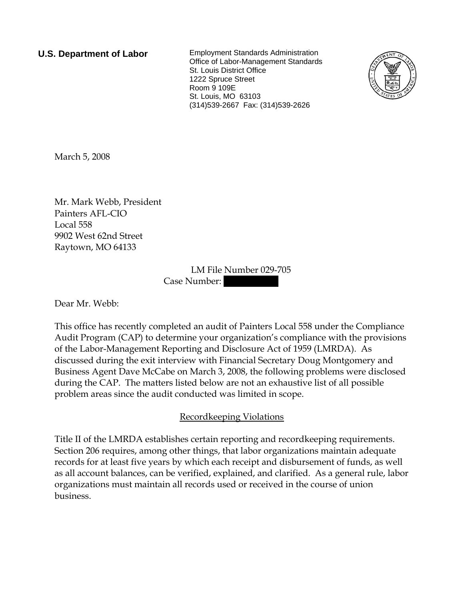**U.S. Department of Labor** Employment Standards Administration Office of Labor-Management Standards St. Louis District Office 1222 Spruce Street Room 9 109E St. Louis, MO 63103 (314)539-2667 Fax: (314)539-2626



March 5, 2008

Mr. Mark Webb, President Painters AFL-CIO Local 558 9902 West 62nd Street Raytown, MO 64133

> LM File Number 029-705 Case Number:

Dear Mr. Webb:

This office has recently completed an audit of Painters Local 558 under the Compliance Audit Program (CAP) to determine your organization's compliance with the provisions of the Labor-Management Reporting and Disclosure Act of 1959 (LMRDA). As discussed during the exit interview with Financial Secretary Doug Montgomery and Business Agent Dave McCabe on March 3, 2008, the following problems were disclosed during the CAP. The matters listed below are not an exhaustive list of all possible problem areas since the audit conducted was limited in scope.

## Recordkeeping Violations

Title II of the LMRDA establishes certain reporting and recordkeeping requirements. Section 206 requires, among other things, that labor organizations maintain adequate records for at least five years by which each receipt and disbursement of funds, as well as all account balances, can be verified, explained, and clarified. As a general rule, labor organizations must maintain all records used or received in the course of union business.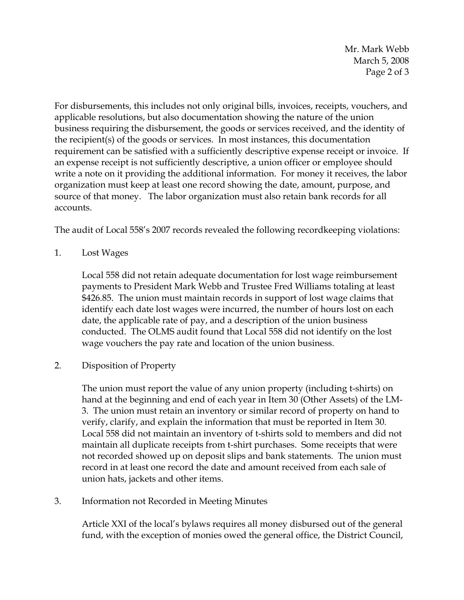Mr. Mark Webb March 5, 2008 Page 2 of 3

For disbursements, this includes not only original bills, invoices, receipts, vouchers, and applicable resolutions, but also documentation showing the nature of the union business requiring the disbursement, the goods or services received, and the identity of the recipient(s) of the goods or services. In most instances, this documentation requirement can be satisfied with a sufficiently descriptive expense receipt or invoice. If an expense receipt is not sufficiently descriptive, a union officer or employee should write a note on it providing the additional information. For money it receives, the labor organization must keep at least one record showing the date, amount, purpose, and source of that money. The labor organization must also retain bank records for all accounts.

The audit of Local 558's 2007 records revealed the following recordkeeping violations:

1. Lost Wages

Local 558 did not retain adequate documentation for lost wage reimbursement payments to President Mark Webb and Trustee Fred Williams totaling at least \$426.85. The union must maintain records in support of lost wage claims that identify each date lost wages were incurred, the number of hours lost on each date, the applicable rate of pay, and a description of the union business conducted. The OLMS audit found that Local 558 did not identify on the lost wage vouchers the pay rate and location of the union business.

2. Disposition of Property

The union must report the value of any union property (including t-shirts) on hand at the beginning and end of each year in Item 30 (Other Assets) of the LM-3. The union must retain an inventory or similar record of property on hand to verify, clarify, and explain the information that must be reported in Item 30. Local 558 did not maintain an inventory of t-shirts sold to members and did not maintain all duplicate receipts from t-shirt purchases. Some receipts that were not recorded showed up on deposit slips and bank statements. The union must record in at least one record the date and amount received from each sale of union hats, jackets and other items.

3. Information not Recorded in Meeting Minutes

Article XXI of the local's bylaws requires all money disbursed out of the general fund, with the exception of monies owed the general office, the District Council,